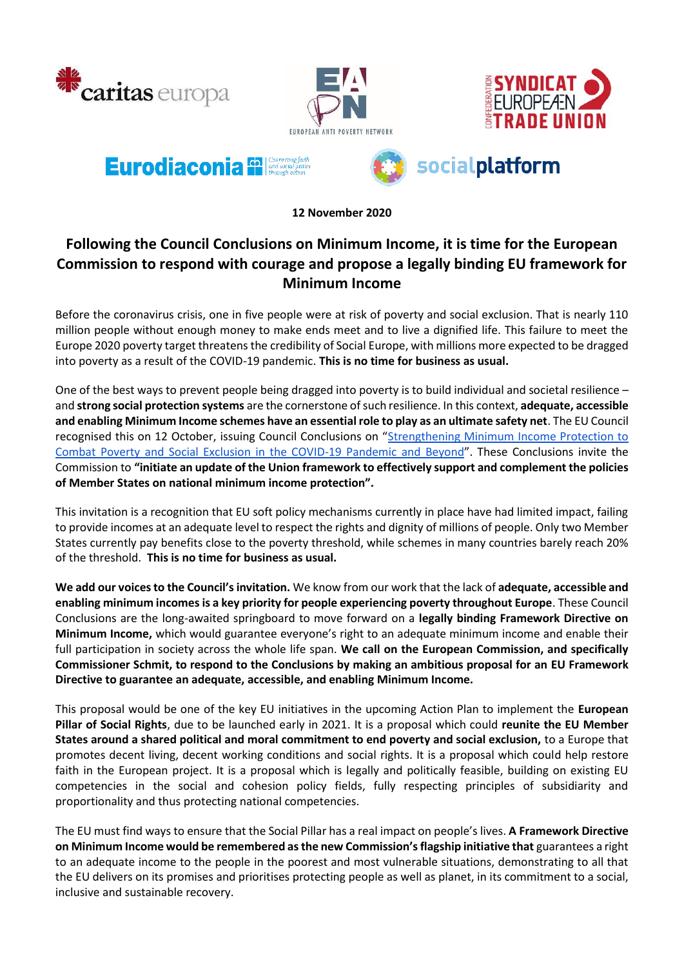





# Eurodiaconia <sup>62</sup>



**12 November 2020**

## **Following the Council Conclusions on Minimum Income, it is time for the European Commission to respond with courage and propose a legally binding EU framework for Minimum Income**

Before the coronavirus crisis, one in five people were at risk of poverty and social exclusion. That is nearly 110 million people without enough money to make ends meet and to live a dignified life. This failure to meet the Europe 2020 poverty target threatens the credibility of Social Europe, with millions more expected to be dragged into poverty as a result of the COVID-19 pandemic. **This is no time for business as usual.**

One of the best ways to prevent people being dragged into poverty is to build individual and societal resilience – and **strong social protection systems** are the cornerstone of such resilience. In this context, **adequate, accessible and enabling Minimum Income schemes have an essential role to play as an ultimate safety net**. The EU Council recognised this on 12 October, issuing Council Conclusions on "[Strengthening Minimum Income Protection to](https://data.consilium.europa.eu/doc/document/ST-11721-2020-INIT/en/pdf)  [Combat Poverty and Social Exclusion in the COVID-19 Pandemic and](https://data.consilium.europa.eu/doc/document/ST-11721-2020-INIT/en/pdf) Beyond". These Conclusions invite the Commission to **"initiate an update of the Union framework to effectively support and complement the policies of Member States on national minimum income protection".**

This invitation is a recognition that EU soft policy mechanisms currently in place have had limited impact, failing to provide incomes at an adequate level to respect the rights and dignity of millions of people. Only two Member States currently pay benefits close to the poverty threshold, while schemes in many countries barely reach 20% of the threshold. **This is no time for business as usual.**

**We add our voices to the Council's invitation.** We know from our work that the lack of **adequate, accessible and enabling minimum incomes is a key priority for people experiencing poverty throughout Europe**. These Council Conclusions are the long-awaited springboard to move forward on a **legally binding Framework Directive on Minimum Income,** which would guarantee everyone's right to an adequate minimum income and enable their full participation in society across the whole life span. **We call on the European Commission, and specifically Commissioner Schmit, to respond to the Conclusions by making an ambitious proposal for an EU Framework Directive to guarantee an adequate, accessible, and enabling Minimum Income.**

This proposal would be one of the key EU initiatives in the upcoming Action Plan to implement the **European Pillar of Social Rights**, due to be launched early in 2021. It is a proposal which could **reunite the EU Member States around a shared political and moral commitment to end poverty and social exclusion,** to a Europe that promotes decent living, decent working conditions and social rights. It is a proposal which could help restore faith in the European project. It is a proposal which is legally and politically feasible, building on existing EU competencies in the social and cohesion policy fields, fully respecting principles of subsidiarity and proportionality and thus protecting national competencies.

The EU must find ways to ensure that the Social Pillar has a real impact on people's lives. **A Framework Directive on Minimum Income would be remembered as the new Commission's flagship initiative that** guarantees a right to an adequate income to the people in the poorest and most vulnerable situations, demonstrating to all that the EU delivers on its promises and prioritises protecting people as well as planet, in its commitment to a social, inclusive and sustainable recovery.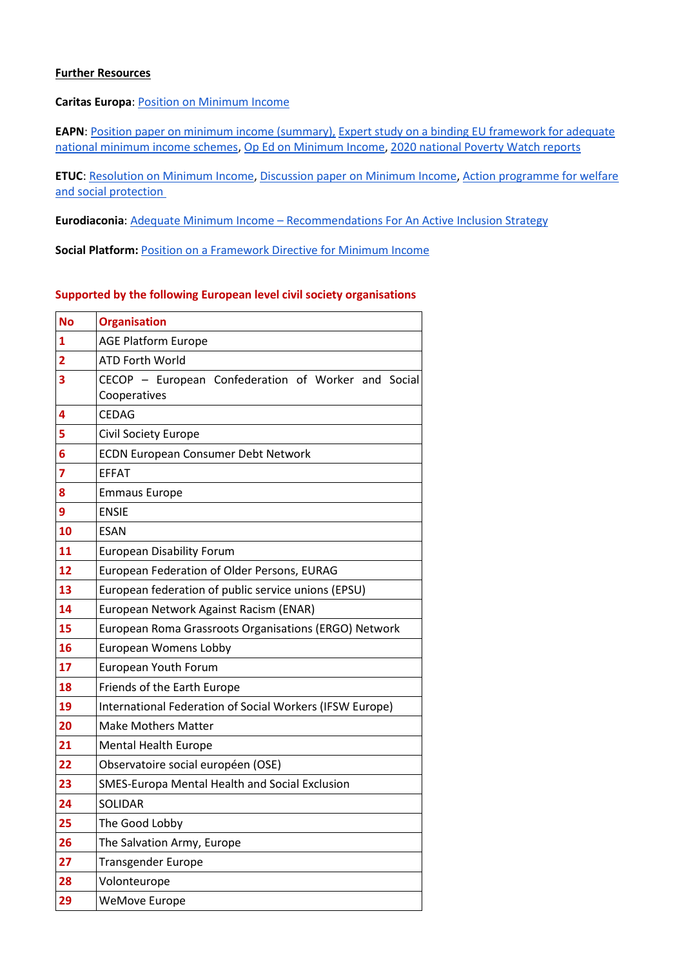#### **Further Resources**

#### **Caritas Europa**: [Position on Minimum Income](https://www.caritas.eu/wordpress/wp-content/uploads/2020/09/CE-position-paper-on-minimum-income-update-Sep.pdf)

**EAPN**: [Position paper on minimum income \(summary\),](https://www.eapn.eu/eapn-position-paper-on-adequate-income-summary-document-on-minimum-income/) Expert study on a binding EU framework for adequate [national minimum income schemes,](https://www.eapn.eu/wp-content/uploads/2020/10/EAPN-european-minimum-income-legal-opinion_October-2020-4723.pdf) Op Ed [on Minimum Income,](https://www.brusselstimes.com/opinion/135958/adequate-minimum-income-for-all-the-time-for-eu-action-is-now/) [2020 national Poverty Watch reports](https://www.eapn.eu/poverty-watches-2/)

**ETUC**[: Resolution on Minimum Income,](https://www.etuc.org/sites/default/files/document/file/2020-09/ETUC%20input%20on%20the%20right%20to%20adequate%2C%20accessible%20and%20effective%20minimum%20income%20schemes%20%28Resolution%20adopted%29_1.pdf) [Discussion paper on Minimum Income,](https://www.etuc.org/en/document/european-tools-minimum-income-schemes-cornerstone-european-anti-poverty-and-social) [Action programme for welfare](https://www.etuc.org/en/document/etuc-action-programme-welfare-and-social-protection)  [and social protection](https://www.etuc.org/en/document/etuc-action-programme-welfare-and-social-protection)

**Eurodiaconia**: Adequate Minimum Income – [Recommendations For An Active Inclusion Strategy](https://www.eurodiaconia.org/wordpress/wp-content/uploads/2020/09/Eurodiaconia-position-paper_-Adequate-minimum-income_Update-2020_Final-draft-version.pdf)

**Social Platform:** [Position on a Framework Directive for Minimum Income](https://www.socialplatform.org/wp-content/uploads/2020/09/EUDF-Position-Paper-.pdf)

#### **Supported by the following European level civil society organisations**

| <b>No</b>               | <b>Organisation</b>                                      |  |  |
|-------------------------|----------------------------------------------------------|--|--|
| 1                       | <b>AGE Platform Europe</b>                               |  |  |
| 2                       | <b>ATD Forth World</b>                                   |  |  |
| 3                       | CECOP - European Confederation of Worker and Social      |  |  |
|                         | Cooperatives                                             |  |  |
| 4                       | <b>CEDAG</b>                                             |  |  |
| 5                       | Civil Society Europe                                     |  |  |
| 6                       | <b>ECDN European Consumer Debt Network</b>               |  |  |
| $\overline{\mathbf{z}}$ | <b>EFFAT</b>                                             |  |  |
| 8                       | <b>Emmaus Europe</b>                                     |  |  |
| 9                       | <b>ENSIE</b>                                             |  |  |
| 10                      | <b>ESAN</b>                                              |  |  |
| 11                      | <b>European Disability Forum</b>                         |  |  |
| 12                      | European Federation of Older Persons, EURAG              |  |  |
| 13                      | European federation of public service unions (EPSU)      |  |  |
| 14                      | European Network Against Racism (ENAR)                   |  |  |
| 15                      | European Roma Grassroots Organisations (ERGO) Network    |  |  |
| 16                      | European Womens Lobby                                    |  |  |
| 17                      | European Youth Forum                                     |  |  |
| 18                      | Friends of the Earth Europe                              |  |  |
| 19                      | International Federation of Social Workers (IFSW Europe) |  |  |
| 20                      | <b>Make Mothers Matter</b>                               |  |  |
| 21                      | <b>Mental Health Europe</b>                              |  |  |
| 22                      | Observatoire social européen (OSE)                       |  |  |
| 23                      | SMES-Europa Mental Health and Social Exclusion           |  |  |
| 24                      | <b>SOLIDAR</b>                                           |  |  |
| 25                      | The Good Lobby                                           |  |  |
| 26                      | The Salvation Army, Europe                               |  |  |
| 27                      | <b>Transgender Europe</b>                                |  |  |
| 28                      | Volonteurope                                             |  |  |
| 29                      | <b>WeMove Europe</b>                                     |  |  |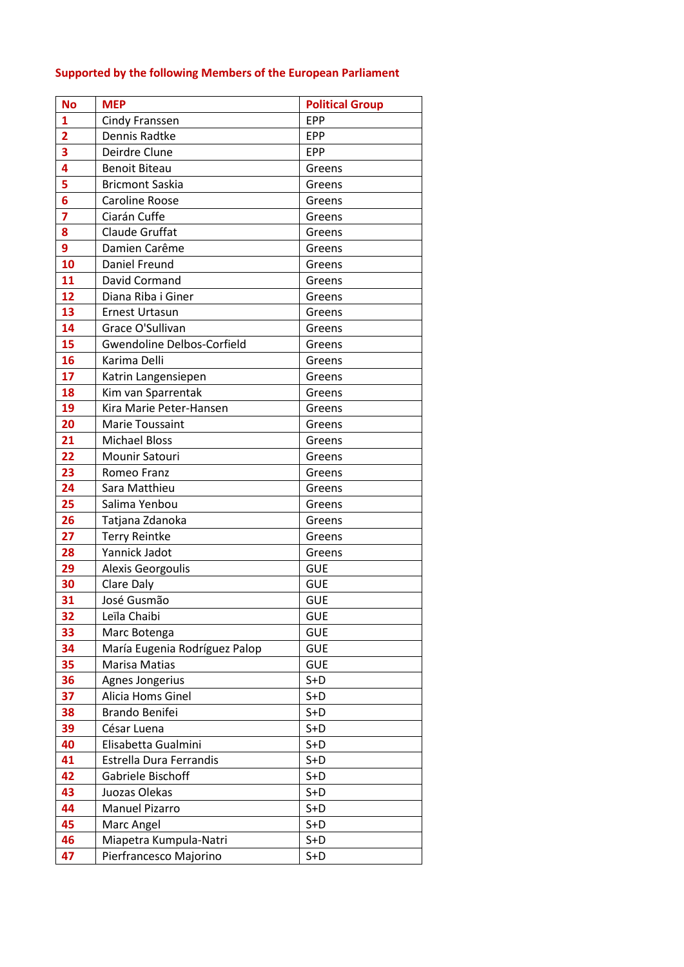### **Supported by the following Members of the European Parliament**

| <b>No</b>      | <b>MEP</b>                        | <b>Political Group</b> |  |
|----------------|-----------------------------------|------------------------|--|
| $\mathbf{1}$   | <b>Cindy Franssen</b>             | <b>EPP</b>             |  |
| $\overline{2}$ | Dennis Radtke                     | <b>EPP</b>             |  |
| 3              | Deirdre Clune                     | <b>EPP</b>             |  |
| 4              | <b>Benoit Biteau</b>              | Greens                 |  |
| 5              | <b>Bricmont Saskia</b>            | Greens                 |  |
| $\overline{6}$ | Caroline Roose                    | Greens                 |  |
| $\overline{7}$ | Ciarán Cuffe                      | Greens                 |  |
| 8              | Claude Gruffat                    | Greens                 |  |
| 9              | Damien Carême                     | Greens                 |  |
| 10             | Daniel Freund<br>Greens           |                        |  |
| 11             | David Cormand<br>Greens           |                        |  |
| 12             | Diana Riba i Giner<br>Greens      |                        |  |
| 13             | <b>Ernest Urtasun</b>             | Greens                 |  |
| 14             | Grace O'Sullivan<br>Greens        |                        |  |
| 15             | <b>Gwendoline Delbos-Corfield</b> | Greens                 |  |
| 16             | Karima Delli                      | Greens                 |  |
| 17             | Katrin Langensiepen               | Greens                 |  |
| 18             | Kim van Sparrentak                | Greens                 |  |
| 19             | Kira Marie Peter-Hansen           | Greens                 |  |
| 20             | Marie Toussaint                   | Greens                 |  |
| 21             | <b>Michael Bloss</b>              | Greens                 |  |
| 22             | Mounir Satouri                    | Greens                 |  |
| 23             | Romeo Franz                       | Greens                 |  |
| 24             | Sara Matthieu                     | Greens                 |  |
| 25             | Salima Yenbou                     | Greens                 |  |
| 26             | Tatjana Zdanoka                   | Greens                 |  |
| 27             | <b>Terry Reintke</b>              | Greens                 |  |
| 28             | Yannick Jadot                     | Greens                 |  |
| 29             | Alexis Georgoulis                 | <b>GUE</b>             |  |
| 30             | Clare Daly                        | <b>GUE</b>             |  |
| 31             | José Gusmão                       | <b>GUE</b>             |  |
| 32             | Leïla Chaibi                      | <b>GUE</b>             |  |
| 33             | Marc Botenga                      | <b>GUE</b>             |  |
| 34             | María Eugenia Rodríguez Palop     | <b>GUE</b>             |  |
| 35             | Marisa Matias                     | <b>GUE</b>             |  |
| 36             | Agnes Jongerius                   | $S+D$                  |  |
| 37             | Alicia Homs Ginel                 | $S+D$                  |  |
| 38             | Brando Benifei                    | $S+D$                  |  |
| 39             | César Luena                       | $S+D$                  |  |
| 40             | Elisabetta Gualmini               | $S+D$                  |  |
| 41             | Estrella Dura Ferrandis           | $S+D$                  |  |
| 42             | Gabriele Bischoff                 | $S+D$                  |  |
| 43             | Juozas Olekas                     | $S+D$                  |  |
| 44             | <b>Manuel Pizarro</b>             | $S+D$                  |  |
| 45             | Marc Angel                        | $S+D$                  |  |
| 46             | Miapetra Kumpula-Natri            | $S+D$                  |  |
| 47             | Pierfrancesco Majorino            | $S+D$                  |  |